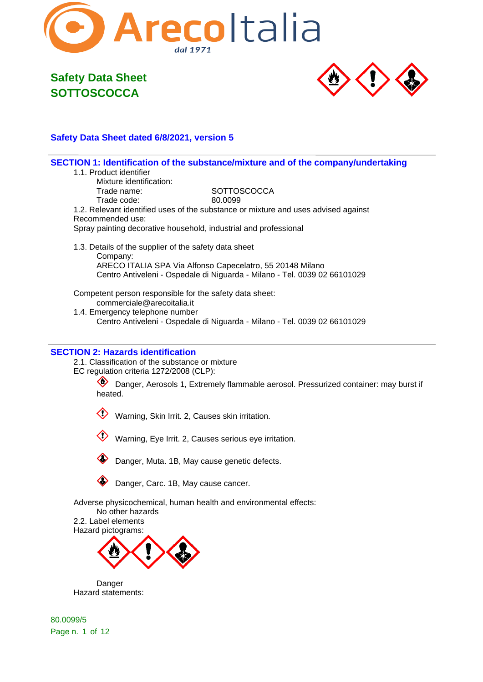



### **Safety Data Sheet dated 6/8/2021, version 5**

|                                                                                       | SECTION 1: Identification of the substance/mixture and of the company/undertaking  |
|---------------------------------------------------------------------------------------|------------------------------------------------------------------------------------|
| 1.1. Product identifier                                                               |                                                                                    |
| Mixture identification:                                                               |                                                                                    |
| Trade name:                                                                           | <b>SOTTOSCOCCA</b>                                                                 |
| Trade code:                                                                           | 80.0099                                                                            |
|                                                                                       | 1.2. Relevant identified uses of the substance or mixture and uses advised against |
| Recommended use:                                                                      |                                                                                    |
| Spray painting decorative household, industrial and professional                      |                                                                                    |
| 1.3. Details of the supplier of the safety data sheet<br>Company:                     |                                                                                    |
|                                                                                       | ARECO ITALIA SPA Via Alfonso Capecelatro, 55 20148 Milano                          |
|                                                                                       | Centro Antiveleni - Ospedale di Niguarda - Milano - Tel. 0039 02 66101029          |
| Competent person responsible for the safety data sheet:<br>commerciale@arecoitalia.it |                                                                                    |
| 1.4. Emergency telephone number                                                       |                                                                                    |
|                                                                                       | Centro Antiveleni - Ospedale di Niguarda - Milano - Tel. 0039 02 66101029          |
|                                                                                       |                                                                                    |
|                                                                                       |                                                                                    |

#### **SECTION 2: Hazards identification**

2.1. Classification of the substance or mixture EC regulation criteria 1272/2008 (CLP):

> Danger, Aerosols 1, Extremely flammable aerosol. Pressurized container: may burst if heated.

Warning, Skin Irrit. 2, Causes skin irritation.

Warning, Eye Irrit. 2, Causes serious eye irritation.



Danger, Muta. 1B, May cause genetic defects.

Danger, Carc. 1B, May cause cancer.

Adverse physicochemical, human health and environmental effects:

No other hazards 2.2. Label elements Hazard pictograms:



Danger Hazard statements:

80.0099/5 Page n. 1 of 12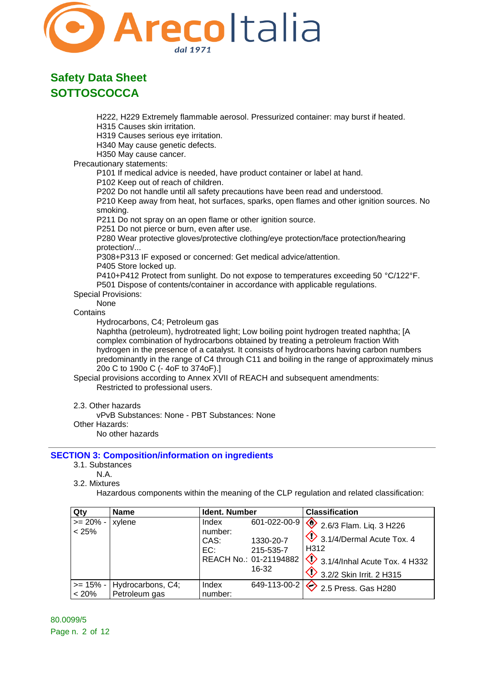

H222, H229 Extremely flammable aerosol. Pressurized container: may burst if heated.

H315 Causes skin irritation.

H319 Causes serious eye irritation.

H340 May cause genetic defects.

H350 May cause cancer.

Precautionary statements:

P101 If medical advice is needed, have product container or label at hand.

P102 Keep out of reach of children.

P202 Do not handle until all safety precautions have been read and understood.

P210 Keep away from heat, hot surfaces, sparks, open flames and other ignition sources. No smoking.

P211 Do not spray on an open flame or other ignition source.

P251 Do not pierce or burn, even after use.

P280 Wear protective gloves/protective clothing/eye protection/face protection/hearing protection/...

P308+P313 IF exposed or concerned: Get medical advice/attention.

P405 Store locked up.

P410+P412 Protect from sunlight. Do not expose to temperatures exceeding 50 °C/122°F. P501 Dispose of contents/container in accordance with applicable regulations.

### Special Provisions:

None

### **Contains**

Hydrocarbons, C4; Petroleum gas

Naphtha (petroleum), hydrotreated light; Low boiling point hydrogen treated naphtha; [A complex combination of hydrocarbons obtained by treating a petroleum fraction With hydrogen in the presence of a catalyst. It consists of hydrocarbons having carbon numbers predominantly in the range of C4 through C11 and boiling in the range of approximately minus 20o C to 190o C (- 4oF to 374oF).]

Special provisions according to Annex XVII of REACH and subsequent amendments: Restricted to professional users.

2.3. Other hazards

vPvB Substances: None - PBT Substances: None

Other Hazards:

No other hazards

### **SECTION 3: Composition/information on ingredients**

- 3.1. Substances
	- N.A.
- 3.2. Mixtures

Hazardous components within the meaning of the CLP regulation and related classification:

| Qty                  | <b>Name</b>                        | Ident. Number                   |                                                                           | <b>Classification</b>                                                                                                                                                  |
|----------------------|------------------------------------|---------------------------------|---------------------------------------------------------------------------|------------------------------------------------------------------------------------------------------------------------------------------------------------------------|
| $>= 20\%$ -<br>< 25% | xylene                             | Index<br>number:<br>CAS:<br>EC: | 601-022-00-9<br>1330-20-7<br>215-535-7<br>REACH No.: 01-21194882<br>16-32 | $\sqrt{2}$ 2.6/3 Flam. Liq. 3 H226<br>3.1/4/Dermal Acute Tox. 4<br>H <sub>3</sub> 12<br>$\sqrt{\phantom{a}}$ 3.1/4/Inhal Acute Tox. 4 H332<br>3.2/2 Skin Irrit. 2 H315 |
| $>= 15\% -$<br>< 20% | Hydrocarbons, C4;<br>Petroleum gas | Index<br>number:                | 649-113-00-2                                                              | $\sqrt{2}$ 2.5 Press. Gas H280                                                                                                                                         |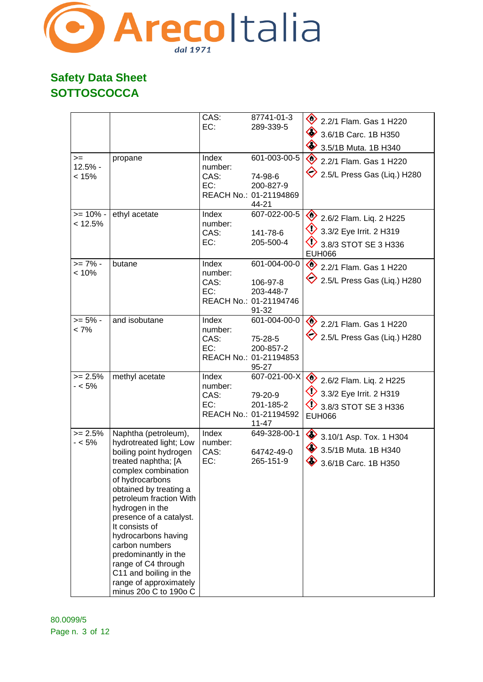

| $>=$<br>$12.5% -$<br>< 15% | propane                                                                                                                                                                                                                                                                                                                                                                                                                              | CAS:<br>EC:<br>Index<br>number:<br>CAS:<br>EC: | 87741-01-3<br>289-339-5<br>601-003-00-5<br>74-98-6<br>200-827-9<br>REACH No.: 01-21194869<br>44-21 | 2.2/1 Flam. Gas 1 H220<br>3.6/1B Carc. 1B H350<br>3.5/1B Muta. 1B H340<br>$\Leftrightarrow$<br>2.2/1 Flam. Gas 1 H220<br>2.5/L Press Gas (Liq.) H280 |
|----------------------------|--------------------------------------------------------------------------------------------------------------------------------------------------------------------------------------------------------------------------------------------------------------------------------------------------------------------------------------------------------------------------------------------------------------------------------------|------------------------------------------------|----------------------------------------------------------------------------------------------------|------------------------------------------------------------------------------------------------------------------------------------------------------|
| $>= 10\%$ -<br>< 12.5%     | ethyl acetate                                                                                                                                                                                                                                                                                                                                                                                                                        | Index<br>number:<br>CAS:<br>EC:                | 607-022-00-5<br>141-78-6<br>205-500-4                                                              | 2.6/2 Flam. Liq. 2 H225<br>$\bigcirc$ 3.3/2 Eye Irrit. 2 H319<br>3.8/3 STOT SE 3 H336<br><b>EUH066</b>                                               |
| $>= 7\%$ -<br>< 10%        | butane                                                                                                                                                                                                                                                                                                                                                                                                                               | Index<br>number:<br>CAS:<br>EC:                | 601-004-00-0<br>106-97-8<br>203-448-7<br>REACH No.: 01-21194746<br>91-32                           | 2.2/1 Flam. Gas 1 H220<br>$\diamondsuit$ 2.5/L Press Gas (Liq.) H280                                                                                 |
| $>= 5\%$ -<br>$< 7\%$      | and isobutane                                                                                                                                                                                                                                                                                                                                                                                                                        | Index<br>number:<br>CAS:<br>EC:                | 601-004-00-0<br>75-28-5<br>200-857-2<br>REACH No.: 01-21194853<br>95-27                            | 2.2/1 Flam. Gas 1 H220<br>2.5/L Press Gas (Liq.) H280                                                                                                |
| $>= 2.5%$<br>- < 5%        | methyl acetate                                                                                                                                                                                                                                                                                                                                                                                                                       | Index<br>number:<br>CAS:<br>EC:                | 607-021-00-X<br>79-20-9<br>201-185-2<br>REACH No.: 01-21194592<br>11-47                            | 2.6/2 Flam. Liq. 2 H225<br>3.3/2 Eye Irrit. 2 H319<br>3.8/3 STOT SE 3 H336<br><b>EUH066</b>                                                          |
| $>= 2.5%$<br>- < 5%        | Naphtha (petroleum),<br>hydrotreated light; Low<br>boiling point hydrogen<br>treated naphtha; [A<br>complex combination<br>of hydrocarbons<br>obtained by treating a<br>petroleum fraction With<br>hydrogen in the<br>presence of a catalyst.<br>It consists of<br>hydrocarbons having<br>carbon numbers<br>predominantly in the<br>range of C4 through<br>C11 and boiling in the<br>range of approximately<br>minus 20o C to 190o C | Index<br>number:<br>CAS:<br>EC:                | 649-328-00-1<br>64742-49-0<br>265-151-9                                                            | 3.10/1 Asp. Tox. 1 H304<br>$\bullet$ 3.5/1B Muta. 1B H340<br>3.6/1B Carc. 1B H350                                                                    |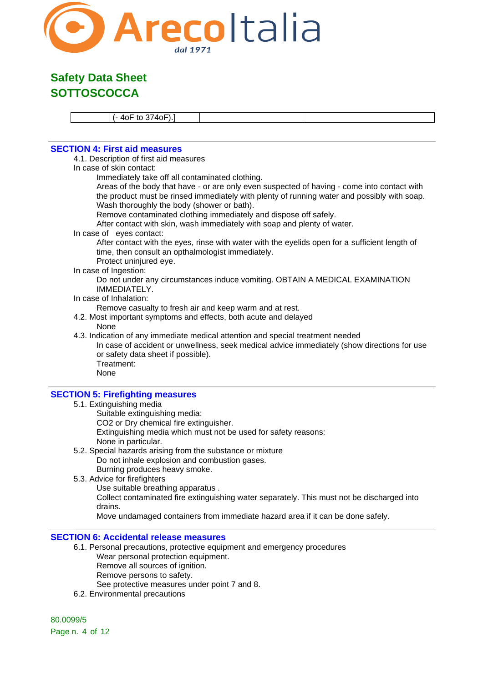

(- 4oF to 374oF).]

### **SECTION 4: First aid measures**

4.1. Description of first aid measures

In case of skin contact:

Immediately take off all contaminated clothing.

Areas of the body that have - or are only even suspected of having - come into contact with the product must be rinsed immediately with plenty of running water and possibly with soap. Wash thoroughly the body (shower or bath).

Remove contaminated clothing immediately and dispose off safely.

After contact with skin, wash immediately with soap and plenty of water.

In case of eyes contact:

After contact with the eyes, rinse with water with the eyelids open for a sufficient length of time, then consult an opthalmologist immediately.

Protect uninjured eye.

In case of Ingestion:

Do not under any circumstances induce vomiting. OBTAIN A MEDICAL EXAMINATION IMMEDIATELY.

#### In case of Inhalation:

Remove casualty to fresh air and keep warm and at rest.

4.2. Most important symptoms and effects, both acute and delayed None

4.3. Indication of any immediate medical attention and special treatment needed In case of accident or unwellness, seek medical advice immediately (show directions for use or safety data sheet if possible). Treatment: None

#### **SECTION 5: Firefighting measures**

- 5.1. Extinguishing media
	- Suitable extinguishing media:

CO2 or Dry chemical fire extinguisher.

Extinguishing media which must not be used for safety reasons:

- None in particular.
- 5.2. Special hazards arising from the substance or mixture Do not inhale explosion and combustion gases. Burning produces heavy smoke.
- 5.3. Advice for firefighters
	- Use suitable breathing apparatus .

Collect contaminated fire extinguishing water separately. This must not be discharged into drains.

Move undamaged containers from immediate hazard area if it can be done safely.

### **SECTION 6: Accidental release measures**

- 6.1. Personal precautions, protective equipment and emergency procedures Wear personal protection equipment. Remove all sources of ignition.
	- Remove persons to safety.
	- See protective measures under point 7 and 8.
- 6.2. Environmental precautions

80.0099/5 Page n. 4 of 12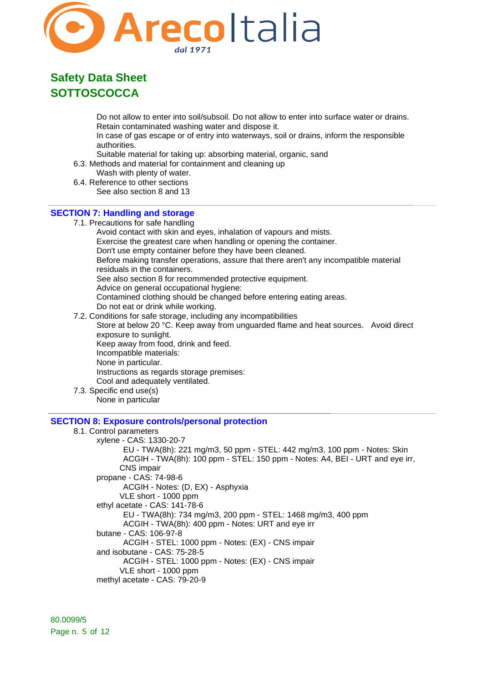

Do not allow to enter into soil/subsoil. Do not allow to enter into surface water or drains. Retain contaminated washing water and dispose it.

In case of gas escape or of entry into waterways, soil or drains, inform the responsible authorities.

Suitable material for taking up: absorbing material, organic, sand

- 6.3. Methods and material for containment and cleaning up
- Wash with plenty of water.
- 6.4. Reference to other sections See also section 8 and 13

#### **SECTION 7: Handling and storage**

7.1. Precautions for safe handling

Avoid contact with skin and eyes, inhalation of vapours and mists. Exercise the greatest care when handling or opening the container. Don't use empty container before they have been cleaned. Before making transfer operations, assure that there aren't any incompatible material residuals in the containers. See also section 8 for recommended protective equipment. Advice on general occupational hygiene: Contamined clothing should be changed before entering eating areas. Do not eat or drink while working. 7.2. Conditions for safe storage, including any incompatibilities

Store at below 20 °C. Keep away from unguarded flame and heat sources. Avoid direct exposure to sunlight. Keep away from food, drink and feed.

Incompatible materials:

None in particular.

Instructions as regards storage premises:

Cool and adequately ventilated.

7.3. Specific end use(s) None in particular

#### **SECTION 8: Exposure controls/personal protection**

#### 8.1. Control parameters

xylene - CAS: 1330-20-7 EU - TWA(8h): 221 mg/m3, 50 ppm - STEL: 442 mg/m3, 100 ppm - Notes: Skin ACGIH - TWA(8h): 100 ppm - STEL: 150 ppm - Notes: A4, BEI - URT and eye irr, CNS impair propane - CAS: 74-98-6 ACGIH - Notes: (D, EX) - Asphyxia VLE short - 1000 ppm ethyl acetate - CAS: 141-78-6 EU - TWA(8h): 734 mg/m3, 200 ppm - STEL: 1468 mg/m3, 400 ppm ACGIH - TWA(8h): 400 ppm - Notes: URT and eye irr butane - CAS: 106-97-8 ACGIH - STEL: 1000 ppm - Notes: (EX) - CNS impair and isobutane - CAS: 75-28-5 ACGIH - STEL: 1000 ppm - Notes: (EX) - CNS impair VLE short - 1000 ppm methyl acetate - CAS: 79-20-9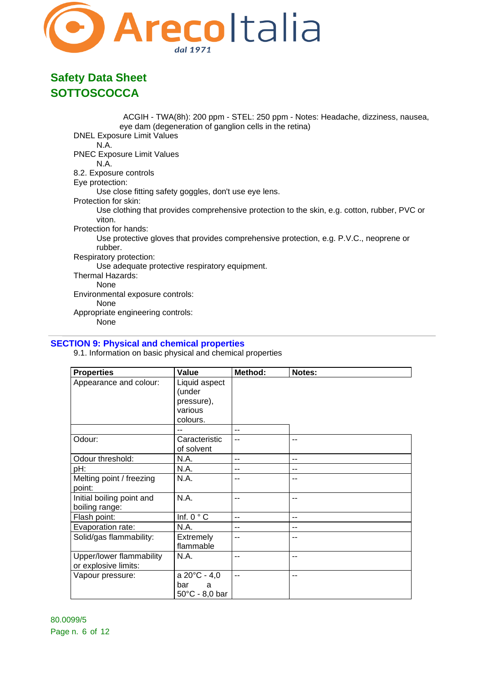

ACGIH - TWA(8h): 200 ppm - STEL: 250 ppm - Notes: Headache, dizziness, nausea, eye dam (degeneration of ganglion cells in the retina) DNEL Exposure Limit Values N.A. PNEC Exposure Limit Values N.A. 8.2. Exposure controls Eye protection: Use close fitting safety goggles, don't use eye lens. Protection for skin: Use clothing that provides comprehensive protection to the skin, e.g. cotton, rubber, PVC or viton. Protection for hands: Use protective gloves that provides comprehensive protection, e.g. P.V.C., neoprene or rubber. Respiratory protection: Use adequate protective respiratory equipment. Thermal Hazards: None Environmental exposure controls: None Appropriate engineering controls: None

### **SECTION 9: Physical and chemical properties**

9.1. Information on basic physical and chemical properties

| <b>Properties</b>         | Value                 | Method: | Notes: |
|---------------------------|-----------------------|---------|--------|
| Appearance and colour:    | Liquid aspect         |         |        |
|                           | (under                |         |        |
|                           | pressure),            |         |        |
|                           | various               |         |        |
|                           | colours.              |         |        |
|                           | --                    | $-$     |        |
| Odour:                    | Caracteristic         | $-$     | $-$    |
|                           | of solvent            |         |        |
| Odour threshold:          | N.A.                  | $-$     | $-$    |
| pH:                       | N.A.                  | --      | --     |
| Melting point / freezing  | N.A.                  | --      |        |
| point:                    |                       |         |        |
| Initial boiling point and | N.A.                  | $-$     | $-$    |
| boiling range:            |                       |         |        |
| Flash point:              | Inf. $0 °C$           | $-$     | $-$    |
| Evaporation rate:         | N.A.                  | --      | --     |
| Solid/gas flammability:   | Extremely             | --      | --     |
|                           | flammable             |         |        |
| Upper/lower flammability  | N.A.                  | --      | --     |
| or explosive limits:      |                       |         |        |
| Vapour pressure:          | $a 20^{\circ}C - 4,0$ | $-$     | $-$    |
|                           | bar<br>a              |         |        |
|                           | 50°C - 8,0 bar        |         |        |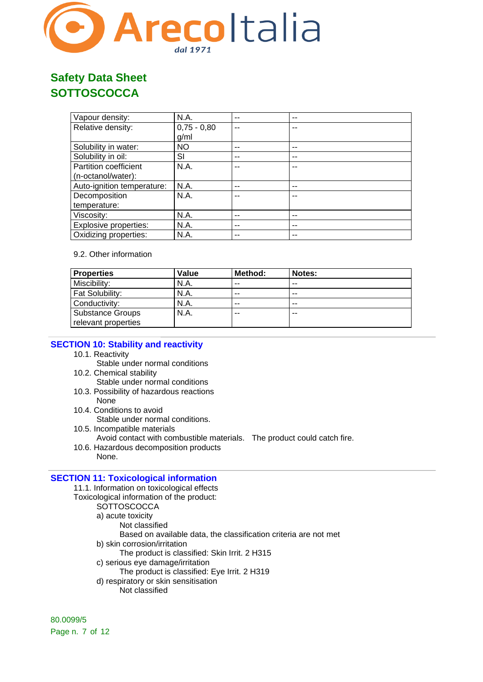

| Vapour density:            | N.A.          | -- | -- |
|----------------------------|---------------|----|----|
| Relative density:          | $0,75 - 0,80$ | -- |    |
|                            | g/ml          |    |    |
| Solubility in water:       | <b>NO</b>     | -- | -- |
| Solubility in oil:         | SI            | -- | -- |
| Partition coefficient      | N.A.          |    |    |
| (n-octanol/water):         |               |    |    |
| Auto-ignition temperature: | N.A.          | -- |    |
| Decomposition              | N.A.          | -- |    |
| temperature:               |               |    |    |
| Viscosity:                 | N.A.          | -- | -- |
| Explosive properties:      | N.A.          | -- | -- |
| Oxidizing properties:      | N.A.          | -- |    |

### 9.2. Other information

| <b>Properties</b>      | Value | Method: | Notes: |
|------------------------|-------|---------|--------|
| Miscibility:           | N.A.  | --      | --     |
| <b>Fat Solubility:</b> | N.A.  | --      | $- -$  |
| Conductivity:          | N.A.  | --      | $- -$  |
| Substance Groups       | N.A.  | --      | --     |
| relevant properties    |       |         |        |

### **SECTION 10: Stability and reactivity**

- 10.1. Reactivity
	- Stable under normal conditions
- 10.2. Chemical stability
	- Stable under normal conditions
- 10.3. Possibility of hazardous reactions
- None
- 10.4. Conditions to avoid Stable under normal conditions.
- 10.5. Incompatible materials
- Avoid contact with combustible materials. The product could catch fire.
- 10.6. Hazardous decomposition products None.

### **SECTION 11: Toxicological information**

- 11.1. Information on toxicological effects
- Toxicological information of the product:
	- **SOTTOSCOCCA** 
		- a) acute toxicity
			- Not classified
				- Based on available data, the classification criteria are not met
		- b) skin corrosion/irritation
			- The product is classified: Skin Irrit. 2 H315
		- c) serious eye damage/irritation
		- The product is classified: Eye Irrit. 2 H319
		- d) respiratory or skin sensitisation
			- Not classified

80.0099/5 Page n. 7 of 12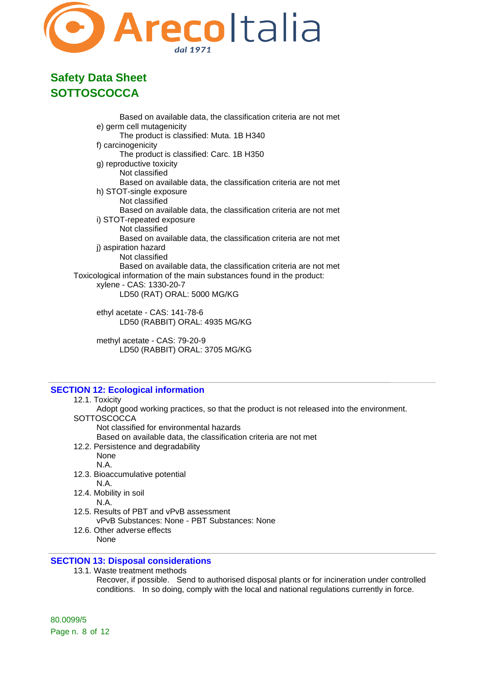

Based on available data, the classification criteria are not met e) germ cell mutagenicity The product is classified: Muta. 1B H340 f) carcinogenicity The product is classified: Carc. 1B H350 g) reproductive toxicity Not classified Based on available data, the classification criteria are not met h) STOT-single exposure Not classified Based on available data, the classification criteria are not met i) STOT-repeated exposure Not classified Based on available data, the classification criteria are not met j) aspiration hazard Not classified Based on available data, the classification criteria are not met Toxicological information of the main substances found in the product: xylene - CAS: 1330-20-7 LD50 (RAT) ORAL: 5000 MG/KG ethyl acetate - CAS: 141-78-6 LD50 (RABBIT) ORAL: 4935 MG/KG

methyl acetate - CAS: 79-20-9 LD50 (RABBIT) ORAL: 3705 MG/KG

### **SECTION 12: Ecological information**

#### 12.1. Toxicity

Adopt good working practices, so that the product is not released into the environment. **SOTTOSCOCCA** 

Not classified for environmental hazards

Based on available data, the classification criteria are not met

12.2. Persistence and degradability None

N.A.

- 12.3. Bioaccumulative potential N.A.
- 12.4. Mobility in soil

N.A.

- 12.5. Results of PBT and vPvB assessment vPvB Substances: None - PBT Substances: None
- 12.6. Other adverse effects None

### **SECTION 13: Disposal considerations**

13.1. Waste treatment methods

Recover, if possible. Send to authorised disposal plants or for incineration under controlled conditions. In so doing, comply with the local and national regulations currently in force.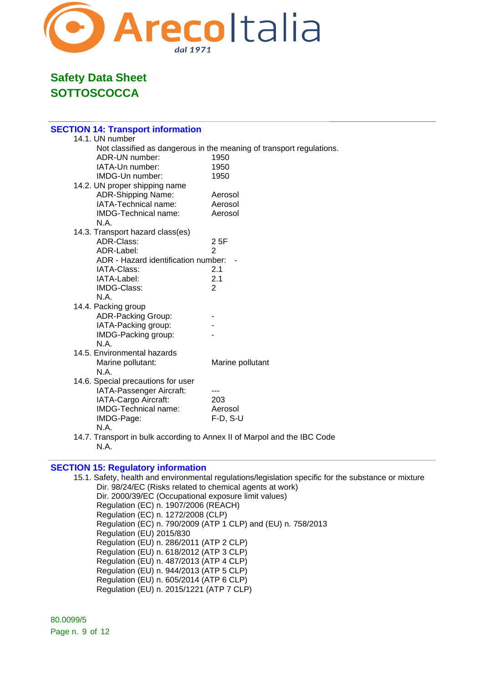

| <b>SECTION 14: Transport information</b>                                 |                                                                      |
|--------------------------------------------------------------------------|----------------------------------------------------------------------|
| 14.1. UN number                                                          |                                                                      |
|                                                                          | Not classified as dangerous in the meaning of transport regulations. |
| ADR-UN number:                                                           | 1950                                                                 |
| IATA-Un number:                                                          | 1950                                                                 |
| IMDG-Un number:                                                          | 1950                                                                 |
| 14.2. UN proper shipping name                                            |                                                                      |
| <b>ADR-Shipping Name:</b>                                                | Aerosol                                                              |
| IATA-Technical name:                                                     | Aerosol                                                              |
| IMDG-Technical name:                                                     | Aerosol                                                              |
| N.A.                                                                     |                                                                      |
| 14.3. Transport hazard class(es)                                         |                                                                      |
| ADR-Class:                                                               | 25F                                                                  |
| ADR-Label:                                                               | $\overline{2}$                                                       |
| ADR - Hazard identification number:                                      |                                                                      |
| IATA-Class:                                                              | 2.1                                                                  |
| IATA-Label:                                                              | 2.1                                                                  |
| IMDG-Class:                                                              | $\overline{2}$                                                       |
| N.A.                                                                     |                                                                      |
| 14.4. Packing group                                                      |                                                                      |
| <b>ADR-Packing Group:</b>                                                |                                                                      |
| IATA-Packing group:                                                      |                                                                      |
| IMDG-Packing group:                                                      |                                                                      |
| N.A.                                                                     |                                                                      |
| 14.5. Environmental hazards                                              |                                                                      |
| Marine pollutant:                                                        | Marine pollutant                                                     |
| N.A.                                                                     |                                                                      |
| 14.6. Special precautions for user                                       |                                                                      |
| IATA-Passenger Aircraft:                                                 |                                                                      |
| IATA-Cargo Aircraft:                                                     | 203                                                                  |
| IMDG-Technical name:                                                     | Aerosol                                                              |
| IMDG-Page:                                                               | $F-D, S-U$                                                           |
| N.A.                                                                     |                                                                      |
| 14.7. Transport in bulk according to Annex II of Marpol and the IBC Code |                                                                      |

#### **SECTION 15: Regulatory information**

N.A.

15.1. Safety, health and environmental regulations/legislation specific for the substance or mixture Dir. 98/24/EC (Risks related to chemical agents at work) Dir. 2000/39/EC (Occupational exposure limit values) Regulation (EC) n. 1907/2006 (REACH) Regulation (EC) n. 1272/2008 (CLP) Regulation (EC) n. 790/2009 (ATP 1 CLP) and (EU) n. 758/2013 Regulation (EU) 2015/830 Regulation (EU) n. 286/2011 (ATP 2 CLP) Regulation (EU) n. 618/2012 (ATP 3 CLP) Regulation (EU) n. 487/2013 (ATP 4 CLP) Regulation (EU) n. 944/2013 (ATP 5 CLP) Regulation (EU) n. 605/2014 (ATP 6 CLP) Regulation (EU) n. 2015/1221 (ATP 7 CLP)

80.0099/5 Page n. 9 of 12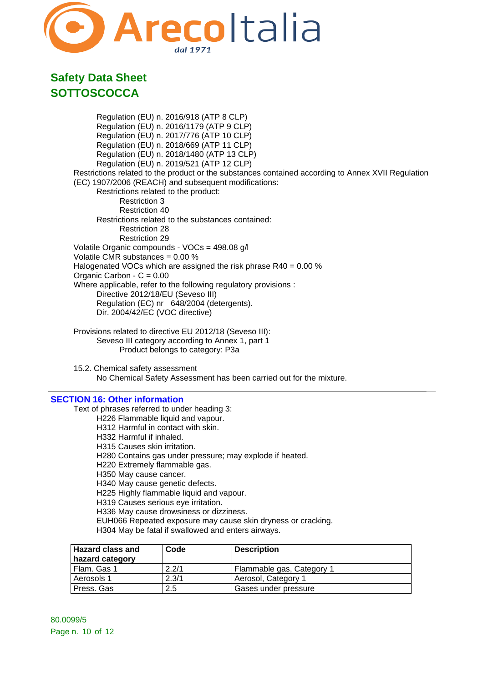

Regulation (EU) n. 2016/918 (ATP 8 CLP) Regulation (EU) n. 2016/1179 (ATP 9 CLP) Regulation (EU) n. 2017/776 (ATP 10 CLP) Regulation (EU) n. 2018/669 (ATP 11 CLP) Regulation (EU) n. 2018/1480 (ATP 13 CLP) Regulation (EU) n. 2019/521 (ATP 12 CLP) Restrictions related to the product or the substances contained according to Annex XVII Regulation (EC) 1907/2006 (REACH) and subsequent modifications: Restrictions related to the product: Restriction 3 Restriction 40 Restrictions related to the substances contained: Restriction 28 Restriction 29 Volatile Organic compounds - VOCs = 498.08 g/l Volatile CMR substances = 0.00 % Halogenated VOCs which are assigned the risk phrase R40 = 0.00 % Organic Carbon - C = 0.00 Where applicable, refer to the following regulatory provisions : Directive 2012/18/EU (Seveso III) Regulation (EC) nr 648/2004 (detergents). Dir. 2004/42/EC (VOC directive)

- Provisions related to directive EU 2012/18 (Seveso III): Seveso III category according to Annex 1, part 1 Product belongs to category: P3a
- 15.2. Chemical safety assessment No Chemical Safety Assessment has been carried out for the mixture.

#### **SECTION 16: Other information**

Text of phrases referred to under heading 3: H226 Flammable liquid and vapour. H312 Harmful in contact with skin. H332 Harmful if inhaled. H315 Causes skin irritation. H280 Contains gas under pressure; may explode if heated. H220 Extremely flammable gas. H350 May cause cancer. H340 May cause genetic defects. H225 Highly flammable liquid and vapour. H319 Causes serious eye irritation. H336 May cause drowsiness or dizziness.

EUH066 Repeated exposure may cause skin dryness or cracking.

H304 May be fatal if swallowed and enters airways.

| <b>Hazard class and</b><br>hazard category | Code  | <b>Description</b>        |
|--------------------------------------------|-------|---------------------------|
| Flam. Gas 1                                | 2.2/1 | Flammable gas, Category 1 |
| Aerosols 1                                 | 2.3/1 | Aerosol, Category 1       |
| Press, Gas                                 | 2.5   | Gases under pressure      |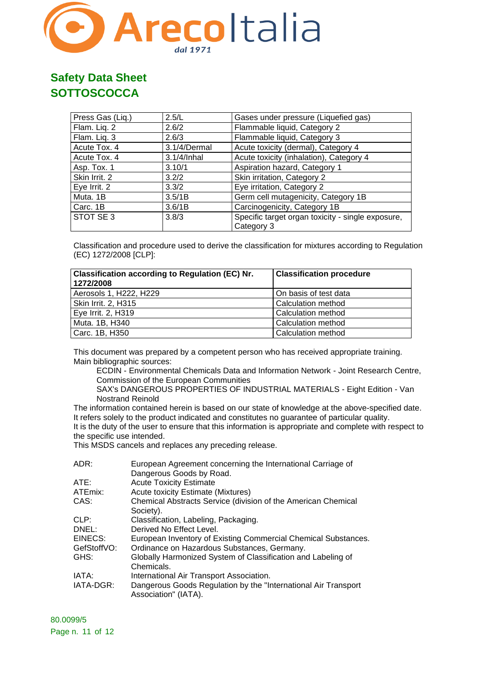

| Press Gas (Liq.) | 2.5/L        | Gases under pressure (Liquefied gas)                            |
|------------------|--------------|-----------------------------------------------------------------|
| Flam. Liq. 2     | 2.6/2        | Flammable liquid, Category 2                                    |
| Flam. Liq. 3     | 2.6/3        | Flammable liquid, Category 3                                    |
| Acute Tox. 4     | 3.1/4/Dermal | Acute toxicity (dermal), Category 4                             |
| Acute Tox. 4     | 3.1/4/Inhal  | Acute toxicity (inhalation), Category 4                         |
| Asp. Tox. 1      | 3.10/1       | Aspiration hazard, Category 1                                   |
| Skin Irrit. 2    | 3.2/2        | Skin irritation, Category 2                                     |
| Eye Irrit. 2     | 3.3/2        | Eye irritation, Category 2                                      |
| Muta. 1B         | 3.5/1B       | Germ cell mutagenicity, Category 1B                             |
| Carc. 1B         | 3.6/1B       | Carcinogenicity, Category 1B                                    |
| STOT SE 3        | 3.8/3        | Specific target organ toxicity - single exposure,<br>Category 3 |

Classification and procedure used to derive the classification for mixtures according to Regulation (EC) 1272/2008 [CLP]:

| <b>Classification according to Regulation (EC) Nr.</b><br>1272/2008 | <b>Classification procedure</b> |
|---------------------------------------------------------------------|---------------------------------|
| Aerosols 1, H222, H229                                              | On basis of test data           |
| Skin Irrit. 2, H315                                                 | Calculation method              |
| Eye Irrit. 2, H319                                                  | Calculation method              |
| Muta. 1B, H340                                                      | Calculation method              |
| Carc. 1B, H350                                                      | <b>Calculation method</b>       |

This document was prepared by a competent person who has received appropriate training. Main bibliographic sources:

ECDIN - Environmental Chemicals Data and Information Network - Joint Research Centre, Commission of the European Communities

SAX's DANGEROUS PROPERTIES OF INDUSTRIAL MATERIALS - Eight Edition - Van Nostrand Reinold

The information contained herein is based on our state of knowledge at the above-specified date. It refers solely to the product indicated and constitutes no guarantee of particular quality. It is the duty of the user to ensure that this information is appropriate and complete with respect to the specific use intended.

This MSDS cancels and replaces any preceding release.

| ADR:        | European Agreement concerning the International Carriage of                             |
|-------------|-----------------------------------------------------------------------------------------|
|             | Dangerous Goods by Road.                                                                |
| ATE:        | <b>Acute Toxicity Estimate</b>                                                          |
| ATEmix:     | Acute toxicity Estimate (Mixtures)                                                      |
| CAS:        | Chemical Abstracts Service (division of the American Chemical                           |
|             | Society).                                                                               |
| CLP:        | Classification, Labeling, Packaging.                                                    |
| DNEL:       | Derived No Effect Level.                                                                |
| EINECS:     | European Inventory of Existing Commercial Chemical Substances.                          |
| GefStoffVO: | Ordinance on Hazardous Substances, Germany.                                             |
| GHS:        | Globally Harmonized System of Classification and Labeling of                            |
|             | Chemicals.                                                                              |
| IATA:       | International Air Transport Association.                                                |
| IATA-DGR:   | Dangerous Goods Regulation by the "International Air Transport"<br>Association" (IATA). |
|             |                                                                                         |